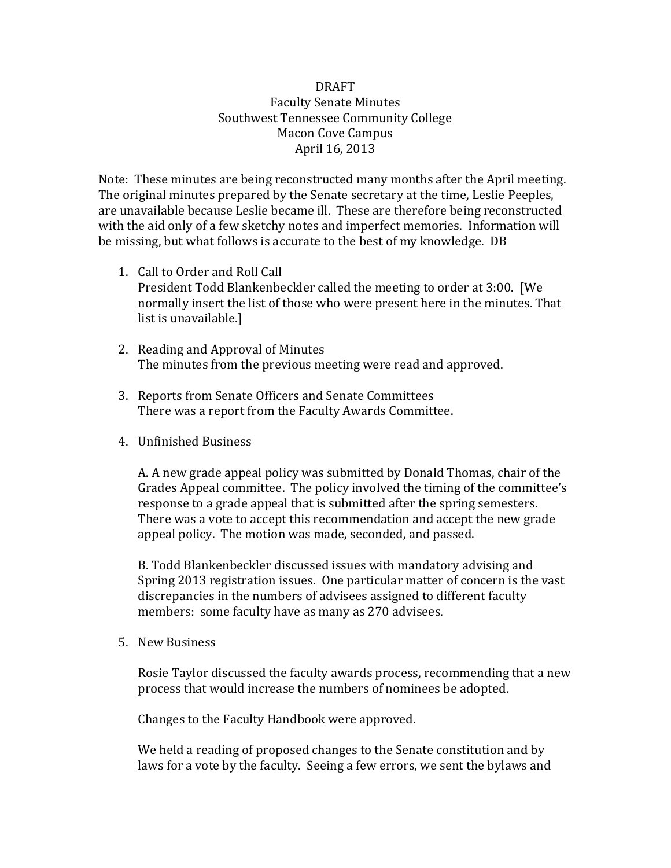## DRAFT Faculty Senate Minutes Southwest Tennessee Community College Macon Cove Campus April 16, 2013

Note: These minutes are being reconstructed many months after the April meeting. The original minutes prepared by the Senate secretary at the time, Leslie Peeples, are unavailable because Leslie became ill. These are therefore being reconstructed with the aid only of a few sketchy notes and imperfect memories. Information will be missing, but what follows is accurate to the best of my knowledge. DB

- 1. Call to Order and Roll Call President Todd Blankenbeckler called the meeting to order at 3:00. [We normally insert the list of those who were present here in the minutes. That list is unavailable.]
- 2. Reading and Approval of Minutes The minutes from the previous meeting were read and approved.
- 3. Reports from Senate Officers and Senate Committees There was a report from the Faculty Awards Committee.
- 4. Unfinished Business

A. A new grade appeal policy was submitted by Donald Thomas, chair of the Grades Appeal committee. The policy involved the timing of the committee's response to a grade appeal that is submitted after the spring semesters. There was a vote to accept this recommendation and accept the new grade appeal policy. The motion was made, seconded, and passed.

B. Todd Blankenbeckler discussed issues with mandatory advising and Spring 2013 registration issues. One particular matter of concern is the vast discrepancies in the numbers of advisees assigned to different faculty members: some faculty have as many as 270 advisees.

5. New Business

Rosie Taylor discussed the faculty awards process, recommending that a new process that would increase the numbers of nominees be adopted.

Changes to the Faculty Handbook were approved.

We held a reading of proposed changes to the Senate constitution and by laws for a vote by the faculty. Seeing a few errors, we sent the bylaws and